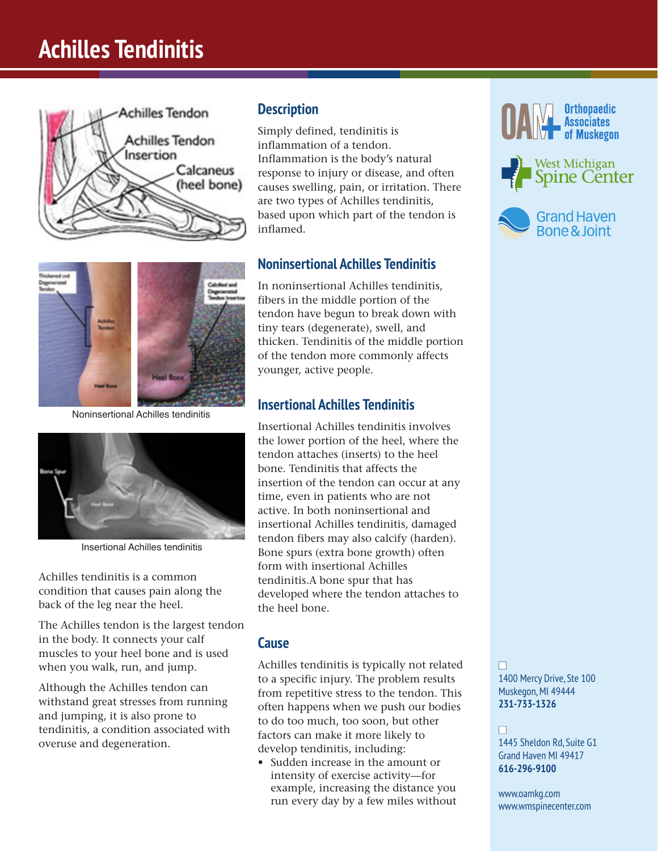# **Achilles Tendinitis**





Noninsertional Achilles tendinitis



Insertional Achilles tendinitis

Achilles tendinitis is a common condition that causes pain along the back of the leg near the heel.

The Achilles tendon is the largest tendon in the body. It connects your calf muscles to your heel bone and is used when you walk, run, and jump.

Although the Achilles tendon can withstand great stresses from running and jumping, it is also prone to tendinitis, a condition associated with overuse and degeneration.

### **Description**

Simply defined, tendinitis is inflammation of a tendon. Inflammation is the body's natural response to injury or disease, and often causes swelling, pain, or irritation. There are two types of Achilles tendinitis, based upon which part of the tendon is inflamed.

### **Noninsertional Achilles Tendinitis**

In noninsertional Achilles tendinitis, fibers in the middle portion of the tendon have begun to break down with tiny tears (degenerate), swell, and thicken. Tendinitis of the middle portion of the tendon more commonly affects younger, active people.

### **Insertional Achilles Tendinitis**

Insertional Achilles tendinitis involves the lower portion of the heel, where the tendon attaches (inserts) to the heel bone. Tendinitis that affects the insertion of the tendon can occur at any time, even in patients who are not active. In both noninsertional and insertional Achilles tendinitis, damaged tendon fibers may also calcify (harden). Bone spurs (extra bone growth) often form with insertional Achilles tendinitis.A bone spur that has developed where the tendon attaches to the heel bone.

#### **Cause**

Achilles tendinitis is typically not related to a specific injury. The problem results from repetitive stress to the tendon. This often happens when we push our bodies to do too much, too soon, but other factors can make it more likely to develop tendinitis, including:

• Sudden increase in the amount or intensity of exercise activity—for example, increasing the distance you run every day by a few miles without







n 1400 Mercy Drive, Ste 100 Muskegon, MI 49444 **231-733-1326**

#### n

1445 Sheldon Rd, Suite G1 Grand Haven MI 49417 **616-296-9100**

www.oamkg.com www.wmspinecenter.com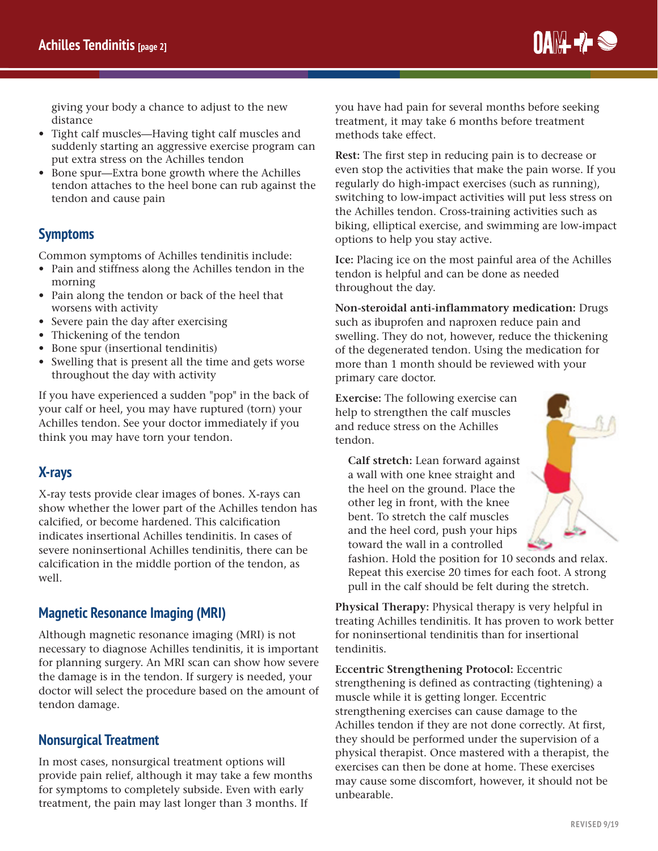IIAM- 7-8

giving your body a chance to adjust to the new distance

- Tight calf muscles—Having tight calf muscles and suddenly starting an aggressive exercise program can put extra stress on the Achilles tendon
- Bone spur—Extra bone growth where the Achilles tendon attaches to the heel bone can rub against the tendon and cause pain

## **Symptoms**

Common symptoms of Achilles tendinitis include:

- Pain and stiffness along the Achilles tendon in the morning
- Pain along the tendon or back of the heel that worsens with activity
- Severe pain the day after exercising
- Thickening of the tendon
- Bone spur (insertional tendinitis)
- Swelling that is present all the time and gets worse throughout the day with activity

If you have experienced a sudden "pop" in the back of your calf or heel, you may have ruptured (torn) your Achilles tendon. See your doctor immediately if you think you may have torn your tendon.

### **X-rays**

X-ray tests provide clear images of bones. X-rays can show whether the lower part of the Achilles tendon has calcified, or become hardened. This calcification indicates insertional Achilles tendinitis. In cases of severe noninsertional Achilles tendinitis, there can be calcification in the middle portion of the tendon, as well.

### **Magnetic Resonance Imaging (MRI)**

Although magnetic resonance imaging (MRI) is not necessary to diagnose Achilles tendinitis, it is important for planning surgery. An MRI scan can show how severe the damage is in the tendon. If surgery is needed, your doctor will select the procedure based on the amount of tendon damage.

### **Nonsurgical Treatment**

In most cases, nonsurgical treatment options will provide pain relief, although it may take a few months for symptoms to completely subside. Even with early treatment, the pain may last longer than 3 months. If

you have had pain for several months before seeking treatment, it may take 6 months before treatment methods take effect.

**Rest:** The first step in reducing pain is to decrease or even stop the activities that make the pain worse. If you regularly do high-impact exercises (such as running), switching to low-impact activities will put less stress on the Achilles tendon. Cross-training activities such as biking, elliptical exercise, and swimming are low-impact options to help you stay active.

**Ice:** Placing ice on the most painful area of the Achilles tendon is helpful and can be done as needed throughout the day.

**Non-steroidal anti-inflammatory medication:** Drugs such as ibuprofen and naproxen reduce pain and swelling. They do not, however, reduce the thickening of the degenerated tendon. Using the medication for more than 1 month should be reviewed with your primary care doctor.

**Exercise:** The following exercise can help to strengthen the calf muscles and reduce stress on the Achilles tendon.

**Calf stretch:** Lean forward against a wall with one knee straight and the heel on the ground. Place the other leg in front, with the knee bent. To stretch the calf muscles and the heel cord, push your hips toward the wall in a controlled



fashion. Hold the position for 10 seconds and relax. Repeat this exercise 20 times for each foot. A strong pull in the calf should be felt during the stretch.

**Physical Therapy:** Physical therapy is very helpful in treating Achilles tendinitis. It has proven to work better for noninsertional tendinitis than for insertional tendinitis.

**Eccentric Strengthening Protocol:** Eccentric strengthening is defined as contracting (tightening) a muscle while it is getting longer. Eccentric strengthening exercises can cause damage to the Achilles tendon if they are not done correctly. At first, they should be performed under the supervision of a physical therapist. Once mastered with a therapist, the exercises can then be done at home. These exercises may cause some discomfort, however, it should not be unbearable.